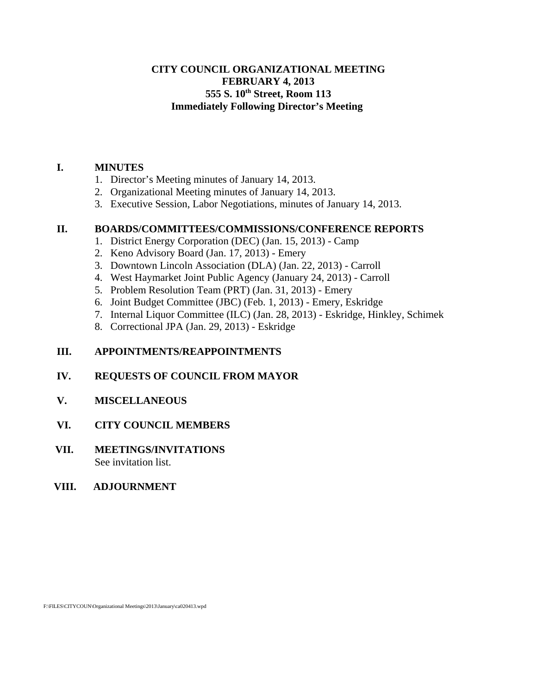### **CITY COUNCIL ORGANIZATIONAL MEETING FEBRUARY 4, 2013 555 S. 10th Street, Room 113 Immediately Following Director's Meeting**

### **I. MINUTES**

- 1. Director's Meeting minutes of January 14, 2013.
- 2. Organizational Meeting minutes of January 14, 2013.
- 3. Executive Session, Labor Negotiations, minutes of January 14, 2013.

#### **II. BOARDS/COMMITTEES/COMMISSIONS/CONFERENCE REPORTS**

- 1. District Energy Corporation (DEC) (Jan. 15, 2013) Camp
- 2. Keno Advisory Board (Jan. 17, 2013) Emery
- 3. Downtown Lincoln Association (DLA) (Jan. 22, 2013) Carroll
- 4. West Haymarket Joint Public Agency (January 24, 2013) Carroll
- 5. Problem Resolution Team (PRT) (Jan. 31, 2013) Emery
- 6. Joint Budget Committee (JBC) (Feb. 1, 2013) Emery, Eskridge
- 7. Internal Liquor Committee (ILC) (Jan. 28, 2013) Eskridge, Hinkley, Schimek
- 8. Correctional JPA (Jan. 29, 2013) Eskridge

### **III. APPOINTMENTS/REAPPOINTMENTS**

### **IV. REQUESTS OF COUNCIL FROM MAYOR**

- **V. MISCELLANEOUS**
- **VI. CITY COUNCIL MEMBERS**
- **VII. MEETINGS/INVITATIONS** See invitation list.

#### **VIII. ADJOURNMENT**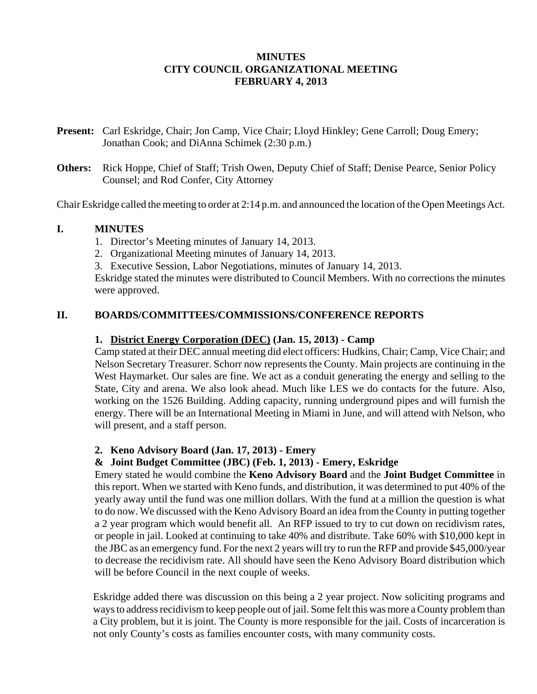### **MINUTES CITY COUNCIL ORGANIZATIONAL MEETING FEBRUARY 4, 2013**

- **Present:** Carl Eskridge, Chair; Jon Camp, Vice Chair; Lloyd Hinkley; Gene Carroll; Doug Emery; Jonathan Cook; and DiAnna Schimek (2:30 p.m.)
- **Others:** Rick Hoppe, Chief of Staff; Trish Owen, Deputy Chief of Staff; Denise Pearce, Senior Policy Counsel; and Rod Confer, City Attorney

Chair Eskridge called the meeting to order at 2:14 p.m. and announced the location of the Open Meetings Act.

#### **I. MINUTES**

- 1. Director's Meeting minutes of January 14, 2013.
- 2. Organizational Meeting minutes of January 14, 2013.
- 3. Executive Session, Labor Negotiations, minutes of January 14, 2013.

Eskridge stated the minutes were distributed to Council Members. With no corrections the minutes were approved.

### **II. BOARDS/COMMITTEES/COMMISSIONS/CONFERENCE REPORTS**

#### **1. District Energy Corporation (DEC) (Jan. 15, 2013) - Camp**

Camp stated at their DEC annual meeting did elect officers: Hudkins, Chair; Camp, Vice Chair; and Nelson Secretary Treasurer. Schorr now represents the County. Main projects are continuing in the West Haymarket. Our sales are fine. We act as a conduit generating the energy and selling to the State, City and arena. We also look ahead. Much like LES we do contacts for the future. Also, working on the 1526 Building. Adding capacity, running underground pipes and will furnish the energy. There will be an International Meeting in Miami in June, and will attend with Nelson, who will present, and a staff person.

#### **2. Keno Advisory Board (Jan. 17, 2013) - Emery**

#### **& Joint Budget Committee (JBC) (Feb. 1, 2013) - Emery, Eskridge**

Emery stated he would combine the **Keno Advisory Board** and the **Joint Budget Committee** in this report. When we started with Keno funds, and distribution, it was determined to put 40% of the yearly away until the fund was one million dollars. With the fund at a million the question is what to do now. We discussed with the Keno Advisory Board an idea from the County in putting together a 2 year program which would benefit all. An RFP issued to try to cut down on recidivism rates, or people in jail. Looked at continuing to take 40% and distribute. Take 60% with \$10,000 kept in the JBC as an emergency fund. For the next 2 years will try to run the RFP and provide \$45,000/year to decrease the recidivism rate. All should have seen the Keno Advisory Board distribution which will be before Council in the next couple of weeks.

Eskridge added there was discussion on this being a 2 year project. Now soliciting programs and ways to address recidivism to keep people out of jail. Some felt this was more a County problem than a City problem, but it is joint. The County is more responsible for the jail. Costs of incarceration is not only County's costs as families encounter costs, with many community costs.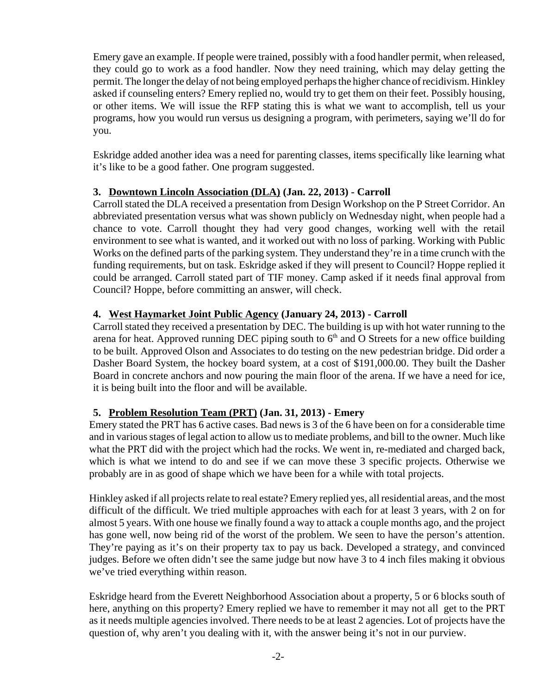Emery gave an example. If people were trained, possibly with a food handler permit, when released, they could go to work as a food handler. Now they need training, which may delay getting the permit. The longer the delay of not being employed perhaps the higher chance of recidivism. Hinkley asked if counseling enters? Emery replied no, would try to get them on their feet. Possibly housing, or other items. We will issue the RFP stating this is what we want to accomplish, tell us your programs, how you would run versus us designing a program, with perimeters, saying we'll do for you.

Eskridge added another idea was a need for parenting classes, items specifically like learning what it's like to be a good father. One program suggested.

# **3. Downtown Lincoln Association (DLA) (Jan. 22, 2013) - Carroll**

Carroll stated the DLA received a presentation from Design Workshop on the P Street Corridor. An abbreviated presentation versus what was shown publicly on Wednesday night, when people had a chance to vote. Carroll thought they had very good changes, working well with the retail environment to see what is wanted, and it worked out with no loss of parking. Working with Public Works on the defined parts of the parking system. They understand they're in a time crunch with the funding requirements, but on task. Eskridge asked if they will present to Council? Hoppe replied it could be arranged. Carroll stated part of TIF money. Camp asked if it needs final approval from Council? Hoppe, before committing an answer, will check.

# **4. West Haymarket Joint Public Agency (January 24, 2013) - Carroll**

Carroll stated they received a presentation by DEC. The building is up with hot water running to the arena for heat. Approved running DEC piping south to  $6<sup>th</sup>$  and O Streets for a new office building to be built. Approved Olson and Associates to do testing on the new pedestrian bridge. Did order a Dasher Board System, the hockey board system, at a cost of \$191,000.00. They built the Dasher Board in concrete anchors and now pouring the main floor of the arena. If we have a need for ice, it is being built into the floor and will be available.

# **5. Problem Resolution Team (PRT) (Jan. 31, 2013) - Emery**

Emery stated the PRT has 6 active cases. Bad news is 3 of the 6 have been on for a considerable time and in various stages of legal action to allow us to mediate problems, and bill to the owner. Much like what the PRT did with the project which had the rocks. We went in, re-mediated and charged back, which is what we intend to do and see if we can move these 3 specific projects. Otherwise we probably are in as good of shape which we have been for a while with total projects.

Hinkley asked if all projects relate to real estate? Emery replied yes, all residential areas, and the most difficult of the difficult. We tried multiple approaches with each for at least 3 years, with 2 on for almost 5 years. With one house we finally found a way to attack a couple months ago, and the project has gone well, now being rid of the worst of the problem. We seen to have the person's attention. They're paying as it's on their property tax to pay us back. Developed a strategy, and convinced judges. Before we often didn't see the same judge but now have 3 to 4 inch files making it obvious we've tried everything within reason.

Eskridge heard from the Everett Neighborhood Association about a property, 5 or 6 blocks south of here, anything on this property? Emery replied we have to remember it may not all get to the PRT as it needs multiple agencies involved. There needs to be at least 2 agencies. Lot of projects have the question of, why aren't you dealing with it, with the answer being it's not in our purview.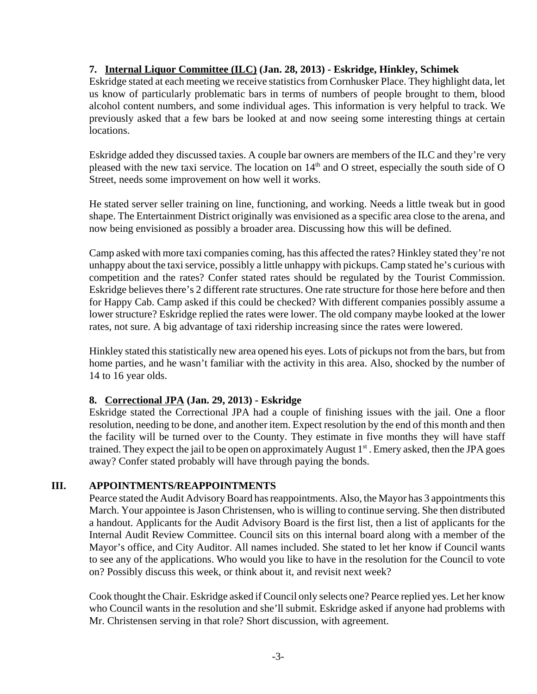### **7. Internal Liquor Committee (ILC) (Jan. 28, 2013) - Eskridge, Hinkley, Schimek**

Eskridge stated at each meeting we receive statistics from Cornhusker Place. They highlight data, let us know of particularly problematic bars in terms of numbers of people brought to them, blood alcohol content numbers, and some individual ages. This information is very helpful to track. We previously asked that a few bars be looked at and now seeing some interesting things at certain locations.

 Eskridge added they discussed taxies. A couple bar owners are members of the ILC and they're very pleased with the new taxi service. The location on 14<sup>th</sup> and O street, especially the south side of O Street, needs some improvement on how well it works.

He stated server seller training on line, functioning, and working. Needs a little tweak but in good shape. The Entertainment District originally was envisioned as a specific area close to the arena, and now being envisioned as possibly a broader area. Discussing how this will be defined.

Camp asked with more taxi companies coming, has this affected the rates? Hinkley stated they're not unhappy about the taxi service, possibly a little unhappy with pickups. Camp stated he's curious with competition and the rates? Confer stated rates should be regulated by the Tourist Commission. Eskridge believes there's 2 different rate structures. One rate structure for those here before and then for Happy Cab. Camp asked if this could be checked? With different companies possibly assume a lower structure? Eskridge replied the rates were lower. The old company maybe looked at the lower rates, not sure. A big advantage of taxi ridership increasing since the rates were lowered.

Hinkley stated this statistically new area opened his eyes. Lots of pickups not from the bars, but from home parties, and he wasn't familiar with the activity in this area. Also, shocked by the number of 14 to 16 year olds.

### **8. Correctional JPA (Jan. 29, 2013) - Eskridge**

Eskridge stated the Correctional JPA had a couple of finishing issues with the jail. One a floor resolution, needing to be done, and another item. Expect resolution by the end of this month and then the facility will be turned over to the County. They estimate in five months they will have staff trained. They expect the jail to be open on approximately August  $1<sup>st</sup>$ . Emery asked, then the JPA goes away? Confer stated probably will have through paying the bonds.

### **III. APPOINTMENTS/REAPPOINTMENTS**

Pearce stated the Audit Advisory Board has reappointments. Also, the Mayor has 3 appointments this March. Your appointee is Jason Christensen, who is willing to continue serving. She then distributed a handout. Applicants for the Audit Advisory Board is the first list, then a list of applicants for the Internal Audit Review Committee. Council sits on this internal board along with a member of the Mayor's office, and City Auditor. All names included. She stated to let her know if Council wants to see any of the applications. Who would you like to have in the resolution for the Council to vote on? Possibly discuss this week, or think about it, and revisit next week?

Cook thought the Chair. Eskridge asked if Council only selects one? Pearce replied yes. Let her know who Council wants in the resolution and she'll submit. Eskridge asked if anyone had problems with Mr. Christensen serving in that role? Short discussion, with agreement.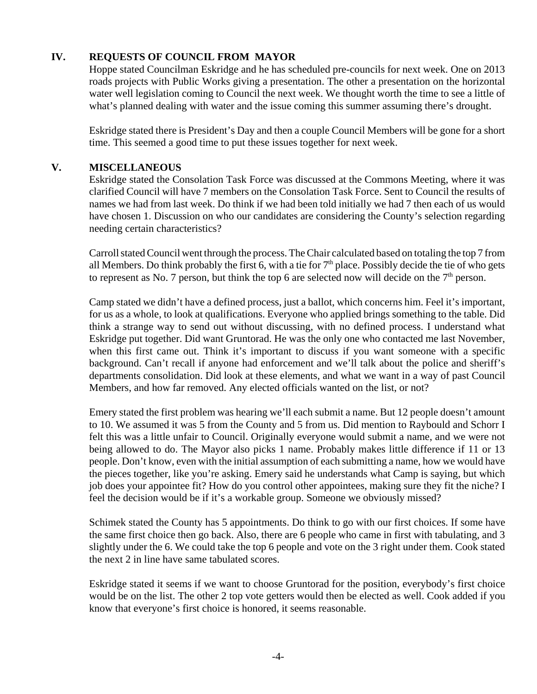# **IV. REQUESTS OF COUNCIL FROM MAYOR**

Hoppe stated Councilman Eskridge and he has scheduled pre-councils for next week. One on 2013 roads projects with Public Works giving a presentation. The other a presentation on the horizontal water well legislation coming to Council the next week. We thought worth the time to see a little of what's planned dealing with water and the issue coming this summer assuming there's drought.

Eskridge stated there is President's Day and then a couple Council Members will be gone for a short time. This seemed a good time to put these issues together for next week.

# **V. MISCELLANEOUS**

Eskridge stated the Consolation Task Force was discussed at the Commons Meeting, where it was clarified Council will have 7 members on the Consolation Task Force. Sent to Council the results of names we had from last week. Do think if we had been told initially we had 7 then each of us would have chosen 1. Discussion on who our candidates are considering the County's selection regarding needing certain characteristics?

Carroll stated Council went through the process. The Chair calculated based on totaling the top 7 from all Members. Do think probably the first 6, with a tie for  $7<sup>th</sup>$  place. Possibly decide the tie of who gets to represent as No. 7 person, but think the top 6 are selected now will decide on the  $7<sup>th</sup>$  person.

Camp stated we didn't have a defined process, just a ballot, which concerns him. Feel it's important, for us as a whole, to look at qualifications. Everyone who applied brings something to the table. Did think a strange way to send out without discussing, with no defined process. I understand what Eskridge put together. Did want Gruntorad. He was the only one who contacted me last November, when this first came out. Think it's important to discuss if you want someone with a specific background. Can't recall if anyone had enforcement and we'll talk about the police and sheriff's departments consolidation. Did look at these elements, and what we want in a way of past Council Members, and how far removed. Any elected officials wanted on the list, or not?

Emery stated the first problem was hearing we'll each submit a name. But 12 people doesn't amount to 10. We assumed it was 5 from the County and 5 from us. Did mention to Raybould and Schorr I felt this was a little unfair to Council. Originally everyone would submit a name, and we were not being allowed to do. The Mayor also picks 1 name. Probably makes little difference if 11 or 13 people. Don't know, even with the initial assumption of each submitting a name, how we would have the pieces together, like you're asking. Emery said he understands what Camp is saying, but which job does your appointee fit? How do you control other appointees, making sure they fit the niche? I feel the decision would be if it's a workable group. Someone we obviously missed?

Schimek stated the County has 5 appointments. Do think to go with our first choices. If some have the same first choice then go back. Also, there are 6 people who came in first with tabulating, and 3 slightly under the 6. We could take the top 6 people and vote on the 3 right under them. Cook stated the next 2 in line have same tabulated scores.

Eskridge stated it seems if we want to choose Gruntorad for the position, everybody's first choice would be on the list. The other 2 top vote getters would then be elected as well. Cook added if you know that everyone's first choice is honored, it seems reasonable.